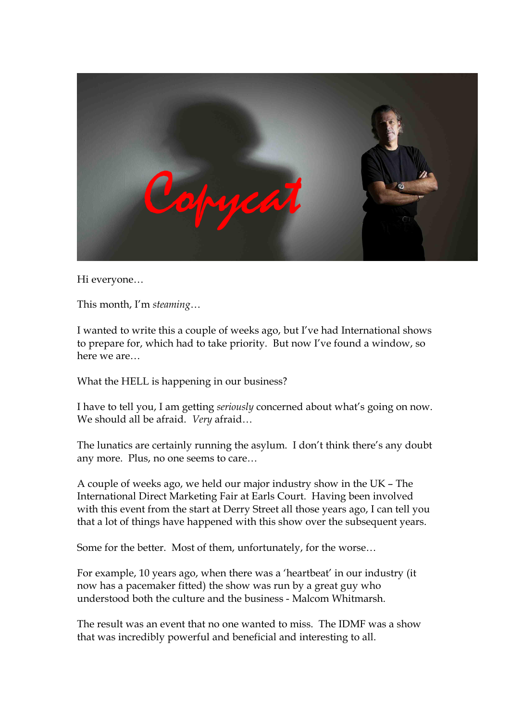

Hi everyone…

This month, I'm *steaming*…

I wanted to write this a couple of weeks ago, but I've had International shows to prepare for, which had to take priority. But now I've found a window, so here we are…

What the HELL is happening in our business?

I have to tell you, I am getting *seriously* concerned about what's going on now. We should all be afraid. *Very* afraid…

The lunatics are certainly running the asylum. I don't think there's any doubt any more. Plus, no one seems to care…

A couple of weeks ago, we held our major industry show in the UK – The International Direct Marketing Fair at Earls Court. Having been involved with this event from the start at Derry Street all those years ago, I can tell you that a lot of things have happened with this show over the subsequent years.

Some for the better. Most of them, unfortunately, for the worse…

For example, 10 years ago, when there was a 'heartbeat' in our industry (it now has a pacemaker fitted) the show was run by a great guy who understood both the culture and the business - Malcom Whitmarsh.

The result was an event that no one wanted to miss. The IDMF was a show that was incredibly powerful and beneficial and interesting to all.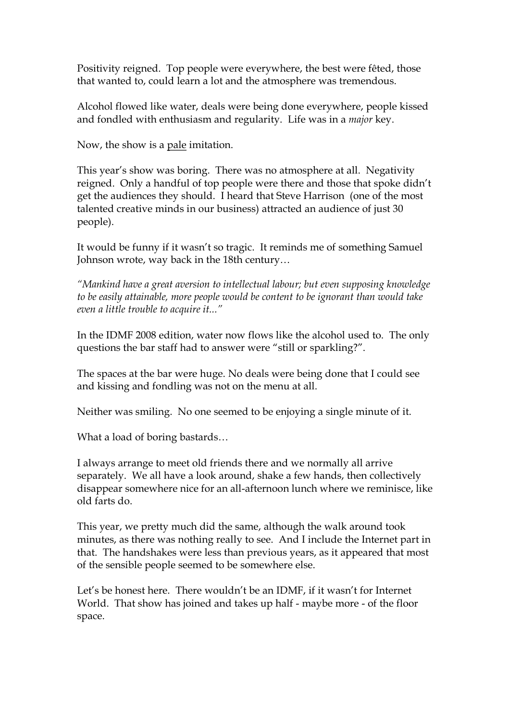Positivity reigned. Top people were everywhere, the best were fêted, those that wanted to, could learn a lot and the atmosphere was tremendous.

Alcohol flowed like water, deals were being done everywhere, people kissed and fondled with enthusiasm and regularity. Life was in a *major* key.

Now, the show is a pale imitation.

This year's show was boring. There was no atmosphere at all. Negativity reigned. Only a handful of top people were there and those that spoke didn't get the audiences they should. I heard that Steve Harrison (one of the most talented creative minds in our business) attracted an audience of just 30 people).

It would be funny if it wasn't so tragic. It reminds me of something Samuel Johnson wrote, way back in the 18th century…

*"Mankind have a great aversion to intellectual labour; but even supposing knowledge to be easily attainable, more people would be content to be ignorant than would take even a little trouble to acquire it..."*

In the IDMF 2008 edition, water now flows like the alcohol used to. The only questions the bar staff had to answer were "still or sparkling?".

The spaces at the bar were huge. No deals were being done that I could see and kissing and fondling was not on the menu at all.

Neither was smiling. No one seemed to be enjoying a single minute of it.

What a load of boring bastards…

I always arrange to meet old friends there and we normally all arrive separately. We all have a look around, shake a few hands, then collectively disappear somewhere nice for an all-afternoon lunch where we reminisce, like old farts do.

This year, we pretty much did the same, although the walk around took minutes, as there was nothing really to see. And I include the Internet part in that. The handshakes were less than previous years, as it appeared that most of the sensible people seemed to be somewhere else.

Let's be honest here. There wouldn't be an IDMF, if it wasn't for Internet World. That show has joined and takes up half - maybe more - of the floor space.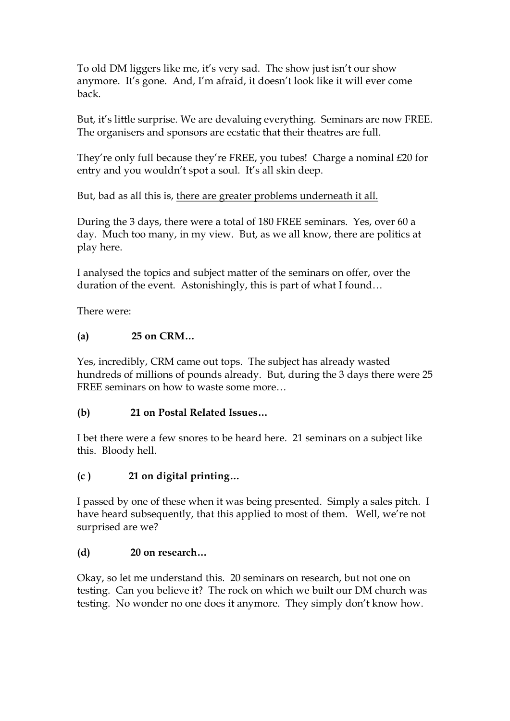To old DM liggers like me, it's very sad. The show just isn't our show anymore. It's gone. And, I'm afraid, it doesn't look like it will ever come back.

But, it's little surprise. We are devaluing everything. Seminars are now FREE. The organisers and sponsors are ecstatic that their theatres are full.

They're only full because they're FREE, you tubes! Charge a nominal £20 for entry and you wouldn't spot a soul. It's all skin deep.

But, bad as all this is, there are greater problems underneath it all.

During the 3 days, there were a total of 180 FREE seminars. Yes, over 60 a day. Much too many, in my view. But, as we all know, there are politics at play here.

I analysed the topics and subject matter of the seminars on offer, over the duration of the event. Astonishingly, this is part of what I found…

There were:

# **(a) 25 on CRM…**

Yes, incredibly, CRM came out tops. The subject has already wasted hundreds of millions of pounds already. But, during the 3 days there were 25 FREE seminars on how to waste some more…

## **(b) 21 on Postal Related Issues…**

I bet there were a few snores to be heard here. 21 seminars on a subject like this. Bloody hell.

## **(c ) 21 on digital printing…**

I passed by one of these when it was being presented. Simply a sales pitch. I have heard subsequently, that this applied to most of them. Well, we're not surprised are we?

#### **(d) 20 on research…**

Okay, so let me understand this. 20 seminars on research, but not one on testing. Can you believe it? The rock on which we built our DM church was testing. No wonder no one does it anymore. They simply don't know how.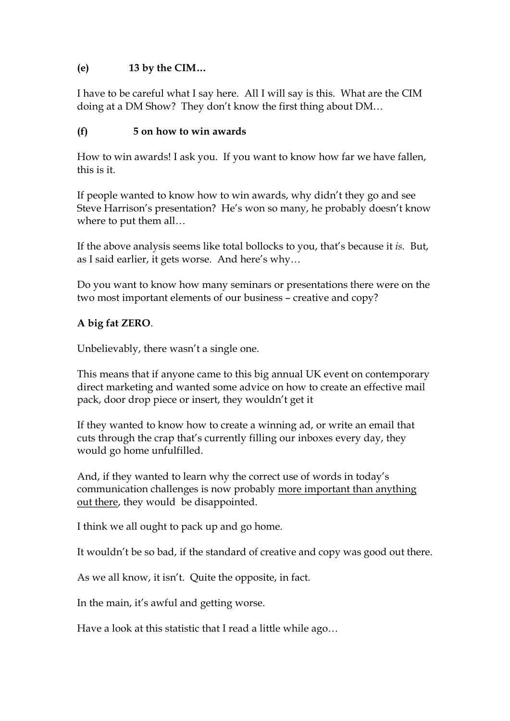## **(e) 13 by the CIM…**

I have to be careful what I say here. All I will say is this. What are the CIM doing at a DM Show? They don't know the first thing about DM…

### **(f) 5 on how to win awards**

How to win awards! I ask you. If you want to know how far we have fallen, this is it.

If people wanted to know how to win awards, why didn't they go and see Steve Harrison's presentation? He's won so many, he probably doesn't know where to put them all…

If the above analysis seems like total bollocks to you, that's because it *is*. But, as I said earlier, it gets worse. And here's why…

Do you want to know how many seminars or presentations there were on the two most important elements of our business – creative and copy?

## **A big fat ZERO**.

Unbelievably, there wasn't a single one.

This means that if anyone came to this big annual UK event on contemporary direct marketing and wanted some advice on how to create an effective mail pack, door drop piece or insert, they wouldn't get it

If they wanted to know how to create a winning ad, or write an email that cuts through the crap that's currently filling our inboxes every day, they would go home unfulfilled.

And, if they wanted to learn why the correct use of words in today's communication challenges is now probably more important than anything out there, they would be disappointed.

I think we all ought to pack up and go home.

It wouldn't be so bad, if the standard of creative and copy was good out there.

As we all know, it isn't. Quite the opposite, in fact.

In the main, it's awful and getting worse.

Have a look at this statistic that I read a little while ago…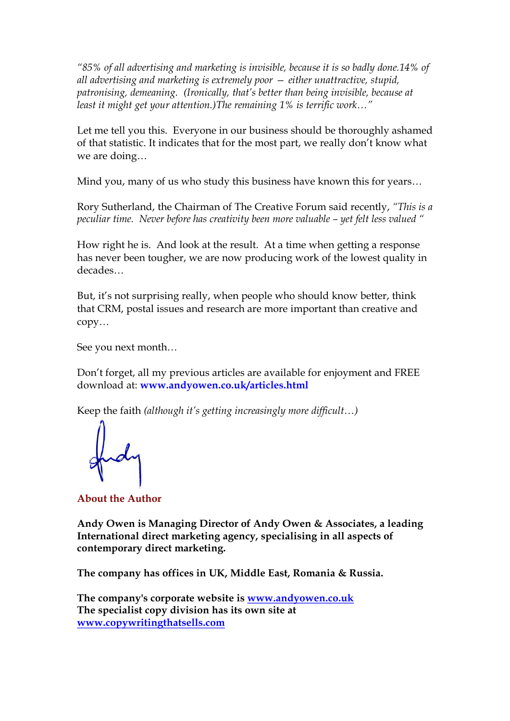*"85% of all advertising and marketing is invisible, because it is so badly done.14% of all advertising and marketing is extremely poor — either unattractive, stupid, patronising, demeaning. (Ironically, that's better than being invisible, because at least it might get your attention.)The remaining 1% is terrific work…"*

Let me tell you this. Everyone in our business should be thoroughly ashamed of that statistic. It indicates that for the most part, we really don't know what we are doing…

Mind you, many of us who study this business have known this for years…

Rory Sutherland, the Chairman of The Creative Forum said recently, *"This is a peculiar time. Never before has creativity been more valuable – yet felt less valued "*

How right he is. And look at the result. At a time when getting a response has never been tougher, we are now producing work of the lowest quality in decades…

But, it's not surprising really, when people who should know better, think that CRM, postal issues and research are more important than creative and copy…

See you next month…

Don't forget, all my previous articles are available for enjoyment and FREE download at: **www.andyowen.co.uk/articles.html**

Keep the faith *(although it's getting increasingly more difficult…)*

**About the Author** 

**Andy Owen is Managing Director of Andy Owen & Associates, a leading International direct marketing agency, specialising in all aspects of contemporary direct marketing.**

**The company has offices in UK, Middle East, Romania & Russia.**

**The company's corporate website is [www.andyowen.co.uk](http://www.andyowen.co.uk/) The specialist copy division has its own site at [www.copywritingthatsells.com](http://www.copywritingthatsells.com/)**